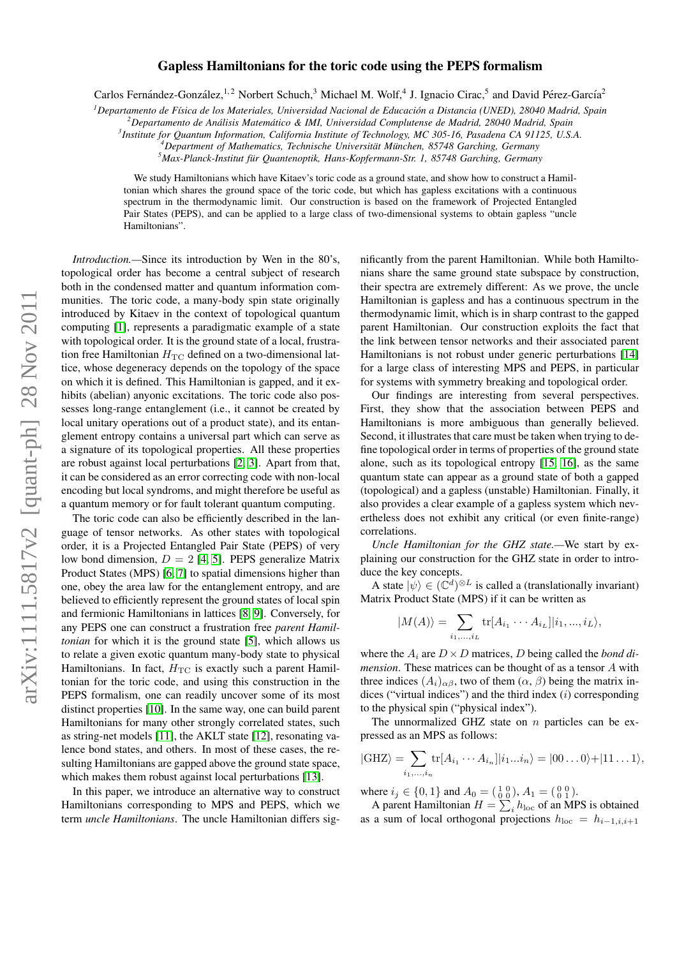# arXiv:111.5817v2 [quant-ph] 28 Nov 2011 arXiv:1111.5817v2 [quant-ph] 28 Nov 2011

# Gapless Hamiltonians for the toric code using the PEPS formalism

Carlos Fernández-González,<sup>1,2</sup> Norbert Schuch,<sup>3</sup> Michael M. Wolf,<sup>4</sup> J. Ignacio Cirac,<sup>5</sup> and David Pérez-García<sup>2</sup>

*<sup>1</sup>Departamento de F´ısica de los Materiales, Universidad Nacional de Educacion a Distancia (UNED), 28040 Madrid, Spain ´*

*<sup>2</sup>Departamento de Analisis Matem ´ atico & IMI, Universidad Complutense de Madrid, 28040 Madrid, Spain ´*

*3 Institute for Quantum Information, California Institute of Technology, MC 305-16, Pasadena CA 91125, U.S.A.*

<sup>4</sup>Department of Mathematics, Technische Universität München, 85748 Garching, Germany

*<sup>5</sup>Max-Planck-Institut fur Quantenoptik, Hans-Kopfermann-Str. 1, 85748 Garching, Germany ¨*

We study Hamiltonians which have Kitaev's toric code as a ground state, and show how to construct a Hamiltonian which shares the ground space of the toric code, but which has gapless excitations with a continuous spectrum in the thermodynamic limit. Our construction is based on the framework of Projected Entangled Pair States (PEPS), and can be applied to a large class of two-dimensional systems to obtain gapless "uncle Hamiltonians".

*Introduction.—*Since its introduction by Wen in the 80's, topological order has become a central subject of research both in the condensed matter and quantum information communities. The toric code, a many-body spin state originally introduced by Kitaev in the context of topological quantum computing [\[1\]](#page-3-0), represents a paradigmatic example of a state with topological order. It is the ground state of a local, frustration free Hamiltonian  $H_{TC}$  defined on a two-dimensional lattice, whose degeneracy depends on the topology of the space on which it is defined. This Hamiltonian is gapped, and it exhibits (abelian) anyonic excitations. The toric code also possesses long-range entanglement (i.e., it cannot be created by local unitary operations out of a product state), and its entanglement entropy contains a universal part which can serve as a signature of its topological properties. All these properties are robust against local perturbations [\[2,](#page-3-1) [3\]](#page-3-2). Apart from that, it can be considered as an error correcting code with non-local encoding but local syndroms, and might therefore be useful as a quantum memory or for fault tolerant quantum computing.

The toric code can also be efficiently described in the language of tensor networks. As other states with topological order, it is a Projected Entangled Pair State (PEPS) of very low bond dimension,  $D = 2$  [\[4,](#page-3-3) [5\]](#page-3-4). PEPS generalize Matrix Product States (MPS) [\[6,](#page-3-5) [7\]](#page-3-6) to spatial dimensions higher than one, obey the area law for the entanglement entropy, and are believed to efficiently represent the ground states of local spin and fermionic Hamiltonians in lattices [\[8,](#page-3-7) [9\]](#page-3-8). Conversely, for any PEPS one can construct a frustration free *parent Hamiltonian* for which it is the ground state [\[5\]](#page-3-4), which allows us to relate a given exotic quantum many-body state to physical Hamiltonians. In fact,  $H_{TC}$  is exactly such a parent Hamiltonian for the toric code, and using this construction in the PEPS formalism, one can readily uncover some of its most distinct properties [\[10\]](#page-3-9). In the same way, one can build parent Hamiltonians for many other strongly correlated states, such as string-net models [\[11\]](#page-3-10), the AKLT state [\[12\]](#page-3-11), resonating valence bond states, and others. In most of these cases, the resulting Hamiltonians are gapped above the ground state space, which makes them robust against local perturbations [\[13\]](#page-3-12).

In this paper, we introduce an alternative way to construct Hamiltonians corresponding to MPS and PEPS, which we term *uncle Hamiltonians*. The uncle Hamiltonian differs significantly from the parent Hamiltonian. While both Hamiltonians share the same ground state subspace by construction, their spectra are extremely different: As we prove, the uncle Hamiltonian is gapless and has a continuous spectrum in the thermodynamic limit, which is in sharp contrast to the gapped parent Hamiltonian. Our construction exploits the fact that the link between tensor networks and their associated parent Hamiltonians is not robust under generic perturbations [\[14\]](#page-3-13) for a large class of interesting MPS and PEPS, in particular for systems with symmetry breaking and topological order.

Our findings are interesting from several perspectives. First, they show that the association between PEPS and Hamiltonians is more ambiguous than generally believed. Second, it illustrates that care must be taken when trying to define topological order in terms of properties of the ground state alone, such as its topological entropy [\[15,](#page-3-14) [16\]](#page-3-15), as the same quantum state can appear as a ground state of both a gapped (topological) and a gapless (unstable) Hamiltonian. Finally, it also provides a clear example of a gapless system which nevertheless does not exhibit any critical (or even finite-range) correlations.

*Uncle Hamiltonian for the GHZ state.—*We start by explaining our construction for the GHZ state in order to introduce the key concepts.

A state  $|\psi\rangle \in (\mathbb{C}^d)^{\otimes L}$  is called a (translationally invariant) Matrix Product State (MPS) if it can be written as

$$
|M(A)\rangle = \sum_{i_1,\dots,i_L} \text{tr}[A_{i_1} \cdots A_{i_L}] |i_1,...,i_L\rangle,
$$

where the  $A_i$  are  $D \times D$  matrices, D being called the *bond dimension*. These matrices can be thought of as a tensor A with three indices  $(A_i)_{\alpha\beta}$ , two of them  $(\alpha, \beta)$  being the matrix indices ("virtual indices") and the third index  $(i)$  corresponding to the physical spin ("physical index").

The unnormalized GHZ state on  $n$  particles can be expressed as an MPS as follows:

$$
|\text{GHZ}\rangle = \sum_{i_1,\dots,i_n} \text{tr}[A_{i_1} \cdots A_{i_n}] |i_1...i_n\rangle = |00...0\rangle + |11...1\rangle,
$$

where  $i_j \in \{0, 1\}$  and  $A_0 = \begin{pmatrix} 1 & 0 \\ 0 & 0 \end{pmatrix}$ ,  $A_1 = \begin{pmatrix} 0 & 0 \\ 0 & 1 \end{pmatrix}$ .

A parent Hamiltonian  $H = \sum_i h_{\text{loc}}$  of an MPS is obtained as a sum of local orthogonal projections  $h_{\text{loc}} = h_{i-1,i,i+1}$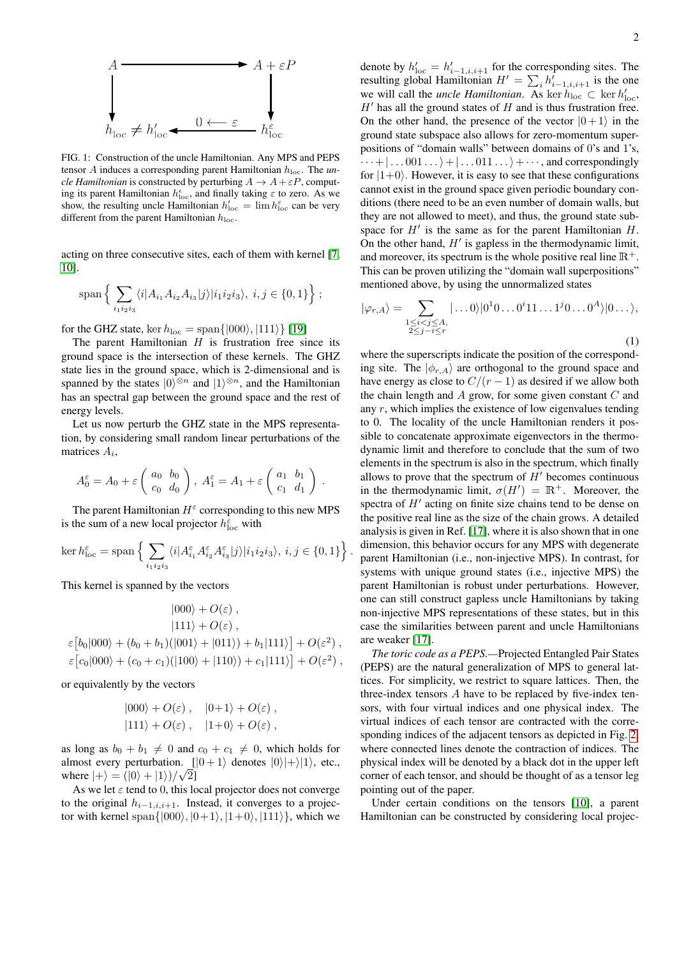

<span id="page-1-0"></span>FIG. 1: Construction of the uncle Hamiltonian. Any MPS and PEPS tensor A induces a corresponding parent Hamiltonian hloc. The *uncle Hamiltonian* is constructed by perturbing  $A \rightarrow A + \varepsilon P$ , computing its parent Hamiltonian  $h^{\epsilon}_{\text{loc}}$ , and finally taking  $\varepsilon$  to zero. As we show, the resulting uncle Hamiltonian  $h'_{\text{loc}} = \lim h_{\text{loc}}^{\varepsilon}$  can be very different from the parent Hamiltonian  $h_{\rm loc}.$ 

acting on three consecutive sites, each of them with kernel [\[7,](#page-3-6) [10\]](#page-3-9).

$$
\text{span}\left\{\sum_{i_1i_2i_3}\langle i|A_{i_1}A_{i_2}A_{i_3}|j\rangle|i_1i_2i_3\rangle, i,j\in\{0,1\}\right\};
$$

for the GHZ state, ker  $h_{\text{loc}} = \text{span}\{|000\rangle, |111\rangle\}$  [\[19\]](#page-3-16)

The parent Hamiltonian  $H$  is frustration free since its ground space is the intersection of these kernels. The GHZ state lies in the ground space, which is 2-dimensional and is spanned by the states  $|0\rangle^{\otimes n}$  and  $|1\rangle^{\otimes n}$ , and the Hamiltonian has an spectral gap between the ground space and the rest of energy levels.

Let us now perturb the GHZ state in the MPS representation, by considering small random linear perturbations of the matrices  $A_i$ ,

$$
A_0^{\varepsilon} = A_0 + \varepsilon \begin{pmatrix} a_0 & b_0 \\ c_0 & d_0 \end{pmatrix}, A_1^{\varepsilon} = A_1 + \varepsilon \begin{pmatrix} a_1 & b_1 \\ c_1 & d_1 \end{pmatrix}.
$$

The parent Hamiltonian  $H^{\varepsilon}$  corresponding to this new MPS is the sum of a new local projector  $h^{\varepsilon}_{\text{loc}}$  with

$$
\ker h^{\varepsilon}_{\text{loc}} = \text{span}\left\{ \sum_{i_1 i_2 i_3} \langle i | A^{\varepsilon}_{i_1} A^{\varepsilon}_{i_2} A^{\varepsilon}_{i_3} | j \rangle | i_1 i_2 i_3 \rangle, i, j \in \{0, 1\} \right\}.
$$

This kernel is spanned by the vectors

$$
|000\rangle + O(\varepsilon) ,
$$
  
\n
$$
|111\rangle + O(\varepsilon) ,
$$
  
\n
$$
\varepsilon [b_0|000\rangle + (b_0 + b_1)(|001\rangle + |011\rangle) + b_1|111\rangle] + O(\varepsilon^2) ,
$$
  
\n
$$
\varepsilon [c_0|000\rangle + (c_0 + c_1)(|100\rangle + |110\rangle) + c_1|111\rangle] + O(\varepsilon^2) ,
$$

or equivalently by the vectors

$$
|000\rangle + O(\varepsilon), \quad |0+1\rangle + O(\varepsilon),
$$
  

$$
|111\rangle + O(\varepsilon), \quad |1+0\rangle + O(\varepsilon),
$$

as long as  $b_0 + b_1 \neq 0$  and  $c_0 + c_1 \neq 0$ , which holds for almost every perturbation.  $[|0+1\rangle$  denotes  $|0\rangle|+\rangle|1\rangle$ , etc., where  $|+\rangle = (|0\rangle + |1\rangle)/\sqrt{2}$ ]

As we let  $\varepsilon$  tend to 0, this local projector does not converge to the original  $h_{i-1,i,j+1}$ . Instead, it converges to a projector with kernel span $\{|000\rangle, |0+1\rangle, |1+0\rangle, |111\rangle\}$ , which we

denote by  $h'_{\text{loc}} = h'_{i-1,i,i+1}$  for the corresponding sites. The resulting global Hamiltonian  $H' = \sum_i h'_{i-1,i,i+1}$  is the one we will call the *uncle Hamiltonian*. As ker  $h_{\text{loc}} \subset \text{ker } h'_{\text{loc}}$ ,  $H'$  has all the ground states of  $H$  and is thus frustration free. On the other hand, the presence of the vector  $|0+1\rangle$  in the ground state subspace also allows for zero-momentum superpositions of "domain walls" between domains of 0's and 1's,  $\cdots + |\dots 001 \dots\rangle + |\dots 011 \dots\rangle + \cdots$ , and correspondingly for  $|1+0\rangle$ . However, it is easy to see that these configurations cannot exist in the ground space given periodic boundary conditions (there need to be an even number of domain walls, but they are not allowed to meet), and thus, the ground state subspace for  $H'$  is the same as for the parent Hamiltonian  $H$ . On the other hand,  $H'$  is gapless in the thermodynamic limit, and moreover, its spectrum is the whole positive real line  $\mathbb{R}^+$ . This can be proven utilizing the "domain wall superpositions" mentioned above, by using the unnormalized states

$$
|\varphi_{r,A}\rangle = \sum_{\substack{1 \le i < j \le A, \\ 2 \le j-i \le r}} |\dots 0\rangle |0^1 0 \dots 0^i 1 1 \dots 1^j 0 \dots 0^A\rangle |0 \dots \rangle,
$$
\n(1)

where the superscripts indicate the position of the corresponding site. The  $|\phi_{r,A}\rangle$  are orthogonal to the ground space and have energy as close to  $C/(r-1)$  as desired if we allow both the chain length and  $A$  grow, for some given constant  $C$  and any  $r$ , which implies the existence of low eigenvalues tending to 0. The locality of the uncle Hamiltonian renders it possible to concatenate approximate eigenvectors in the thermodynamic limit and therefore to conclude that the sum of two elements in the spectrum is also in the spectrum, which finally allows to prove that the spectrum of  $H'$  becomes continuous in the thermodynamic limit,  $\sigma(H') = \mathbb{R}^+$ . Moreover, the spectra of  $H'$  acting on finite size chains tend to be dense on the positive real line as the size of the chain grows. A detailed analysis is given in Ref. [\[17\]](#page-3-17), where it is also shown that in one dimension, this behavior occurs for any MPS with degenerate parent Hamiltonian (i.e., non-injective MPS). In contrast, for systems with unique ground states (i.e., injective MPS) the parent Hamiltonian is robust under perturbations. However, one can still construct gapless uncle Hamiltonians by taking non-injective MPS representations of these states, but in this case the similarities between parent and uncle Hamiltonians are weaker [\[17\]](#page-3-17).

*The toric code as a PEPS.—*Projected Entangled Pair States (PEPS) are the natural generalization of MPS to general lattices. For simplicity, we restrict to square lattices. Then, the three-index tensors A have to be replaced by five-index tensors, with four virtual indices and one physical index. The virtual indices of each tensor are contracted with the corresponding indices of the adjacent tensors as depicted in Fig. [2,](#page-2-0) where connected lines denote the contraction of indices. The physical index will be denoted by a black dot in the upper left corner of each tensor, and should be thought of as a tensor leg pointing out of the paper.

Under certain conditions on the tensors [\[10\]](#page-3-9), a parent Hamiltonian can be constructed by considering local projec-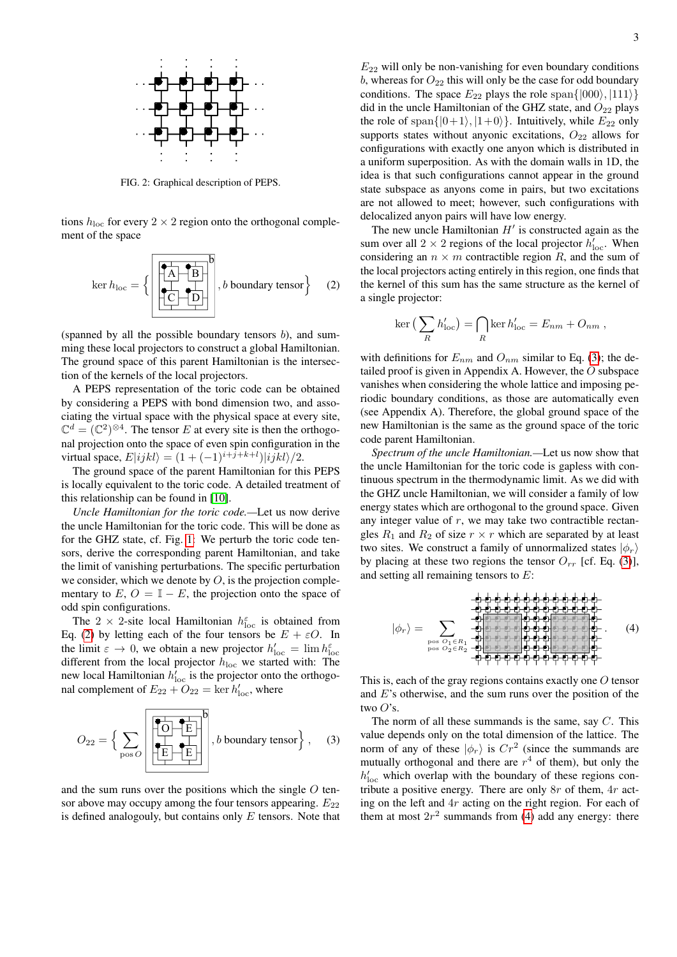

<span id="page-2-0"></span>FIG. 2: Graphical description of PEPS.

tions  $h_{\text{loc}}$  for every  $2 \times 2$  region onto the orthogonal complement of the space

<span id="page-2-1"></span>
$$
\ker h_{\text{loc}} = \left\{ \left[ \begin{array}{ccc} \overrightarrow{A} & \overrightarrow{B} \\ \overrightarrow{C} & \overrightarrow{D} \\ \overrightarrow{C} & \overrightarrow{D} \end{array} \right], b \text{ boundary tensor} \right\} \quad (2)
$$

(spanned by all the possible boundary tensors  $b$ ), and summing these local projectors to construct a global Hamiltonian. The ground space of this parent Hamiltonian is the intersection of the kernels of the local projectors.

A PEPS representation of the toric code can be obtained by considering a PEPS with bond dimension two, and associating the virtual space with the physical space at every site,  $\mathbb{C}^{d} = (\mathbb{C}^{2})^{\otimes 4}$ . The tensor E at every site is then the orthogonal projection onto the space of even spin configuration in the virtual space,  $E|ijkl\rangle = (1 + (-1)^{i+j+k+l})|ijkl\rangle/2$ .

The ground space of the parent Hamiltonian for this PEPS is locally equivalent to the toric code. A detailed treatment of this relationship can be found in [\[10\]](#page-3-9).

*Uncle Hamiltonian for the toric code.—*Let us now derive the uncle Hamiltonian for the toric code. This will be done as for the GHZ state, cf. Fig. [1:](#page-1-0) We perturb the toric code tensors, derive the corresponding parent Hamiltonian, and take the limit of vanishing perturbations. The specific perturbation we consider, which we denote by  $O$ , is the projection complementary to  $E, O = \mathbb{I} - E$ , the projection onto the space of odd spin configurations.

The 2  $\times$  2-site local Hamiltonian  $h^{\varepsilon}_{\text{loc}}$  is obtained from Eq. [\(2\)](#page-2-1) by letting each of the four tensors be  $E + \varepsilon O$ . In the limit  $\varepsilon \to 0$ , we obtain a new projector  $h'_{\text{loc}} = \lim h^{\varepsilon}_{\text{loc}}$ different from the local projector  $h_{\text{loc}}$  we started with: The new local Hamiltonian  $h'_{\text{loc}}$  is the projector onto the orthogonal complement of  $E_{22} + O_{22} = \ker h'_{loc}$ , where

<span id="page-2-2"></span>

and the sum runs over the positions which the single  $O$  tensor above may occupy among the four tensors appearing.  $E_{22}$ is defined analogouly, but contains only  $E$  tensors. Note that  $E_{22}$  will only be non-vanishing for even boundary conditions  $b$ , whereas for  $O_{22}$  this will only be the case for odd boundary conditions. The space  $E_{22}$  plays the role span $\{ |000\rangle, |111\rangle \}$ did in the uncle Hamiltonian of the GHZ state, and  $O_{22}$  plays the role of span $\{|0+1\rangle, |1+0\rangle\}$ . Intuitively, while  $E_{22}$  only supports states without anyonic excitations,  $O_{22}$  allows for configurations with exactly one anyon which is distributed in a uniform superposition. As with the domain walls in 1D, the idea is that such configurations cannot appear in the ground state subspace as anyons come in pairs, but two excitations are not allowed to meet; however, such configurations with delocalized anyon pairs will have low energy.

The new uncle Hamiltonian  $H'$  is constructed again as the sum over all  $2 \times 2$  regions of the local projector  $h'_{\text{loc}}$ . When considering an  $n \times m$  contractible region R, and the sum of the local projectors acting entirely in this region, one finds that the kernel of this sum has the same structure as the kernel of a single projector:

<span id="page-2-3"></span>
$$
\ker\left(\sum_{R}h'_{\text{loc}}\right) = \bigcap_{R} \ker h'_{\text{loc}} = E_{nm} + O_{nm} ,
$$

with definitions for  $E_{nm}$  and  $O_{nm}$  similar to Eq. [\(3\)](#page-2-2); the detailed proof is given in Appendix A. However, the O subspace vanishes when considering the whole lattice and imposing periodic boundary conditions, as those are automatically even (see Appendix A). Therefore, the global ground space of the new Hamiltonian is the same as the ground space of the toric code parent Hamiltonian.

*Spectrum of the uncle Hamiltonian.—*Let us now show that the uncle Hamiltonian for the toric code is gapless with continuous spectrum in the thermodynamic limit. As we did with the GHZ uncle Hamiltonian, we will consider a family of low energy states which are orthogonal to the ground space. Given any integer value of  $r$ , we may take two contractible rectangles  $R_1$  and  $R_2$  of size  $r \times r$  which are separated by at least two sites. We construct a family of unnormalized states  $|\phi_r\rangle$ by placing at these two regions the tensor  $O_{rr}$  [cf. Eq. [\(3\)](#page-2-2)], and setting all remaining tensors to E:

$$
|\phi_r\rangle = \sum_{\substack{\mathbf{p},\mathbf{c}\\ \mathbf{p},\mathbf{c}\\ \mathbf{p},\mathbf{c}\\ \mathbf{p},\mathbf{c}\\ \mathbf{p},\mathbf{c}\\ \mathbf{p},\mathbf{c}\\ \mathbf{p},\mathbf{c}\\ \mathbf{p},\mathbf{c}\\ \mathbf{p},\mathbf{c}\\ \mathbf{p},\mathbf{c}\\ \mathbf{p},\mathbf{c}\\ \mathbf{p},\mathbf{c}\\ \mathbf{p},\mathbf{c}\\ \mathbf{p},\mathbf{c}\\ \mathbf{p},\mathbf{c}\\ \mathbf{p},\mathbf{c}\\ \mathbf{p},\mathbf{c}\\ \mathbf{p},\mathbf{c}\\ \mathbf{p},\mathbf{c}\\ \mathbf{p},\mathbf{c}\\ \mathbf{p},\mathbf{c}\\ \mathbf{p},\mathbf{c}\\ \mathbf{p},\mathbf{c}\\ \mathbf{p},\mathbf{c}\\ \mathbf{p},\mathbf{c}\\ \mathbf{p},\mathbf{c}\\ \mathbf{p},\mathbf{c}\\ \mathbf{p},\mathbf{c}\\ \mathbf{p},\mathbf{c}\\ \mathbf{p},\mathbf{c}\\ \mathbf{p},\mathbf{c}\\ \mathbf{p},\mathbf{c}\\ \mathbf{p},\mathbf{c}\\ \mathbf{p},\mathbf{c}\\ \mathbf{p},\mathbf{c}\\ \mathbf{p},\mathbf{c}\\ \mathbf{p},\mathbf{c}\\ \mathbf{p},\mathbf{c}\\ \mathbf{p},\mathbf{c}\\ \mathbf{p},\mathbf{c}\\ \mathbf{p},\mathbf{c}\\ \mathbf{p},\mathbf{c}\\ \mathbf{p},\mathbf{c}\\ \mathbf{p},\mathbf{c}\\ \mathbf{p},\mathbf{c}\\ \mathbf{p},\mathbf{c}\\ \mathbf{p},\mathbf{c}\\ \mathbf{p},\mathbf{c}\\ \mathbf{p},\mathbf{c}\\ \mathbf{p},\mathbf{c}\\ \mathbf{p},\mathbf{c}\\ \mathbf{p},\mathbf{c}\\ \mathbf{p},\mathbf{c}\\ \mathbf{p},\mathbf{c}\\ \mathbf{p},\mathbf{c}\\ \mathbf{p},\mathbf{c}\\ \mathbf{p},\mathbf{c}\\ \mathbf{p},\mathbf{c}\\ \mathbf{p},\mathbf{c}\\ \mathbf{p},\mathbf{c}\\ \mathbf{p},\mathbf{c}\\ \mathbf{p},\mathbf{c}\\ \mathbf
$$

This is, each of the gray regions contains exactly one O tensor and E's otherwise, and the sum runs over the position of the two  $O$ 's.

The norm of all these summands is the same, say  $C$ . This value depends only on the total dimension of the lattice. The norm of any of these  $|\phi_r\rangle$  is  $Cr^2$  (since the summands are mutually orthogonal and there are  $r<sup>4</sup>$  of them), but only the  $h'_{\text{loc}}$  which overlap with the boundary of these regions contribute a positive energy. There are only 8r of them, 4r acting on the left and 4r acting on the right region. For each of them at most  $2r^2$  summands from [\(4\)](#page-2-3) add any energy: there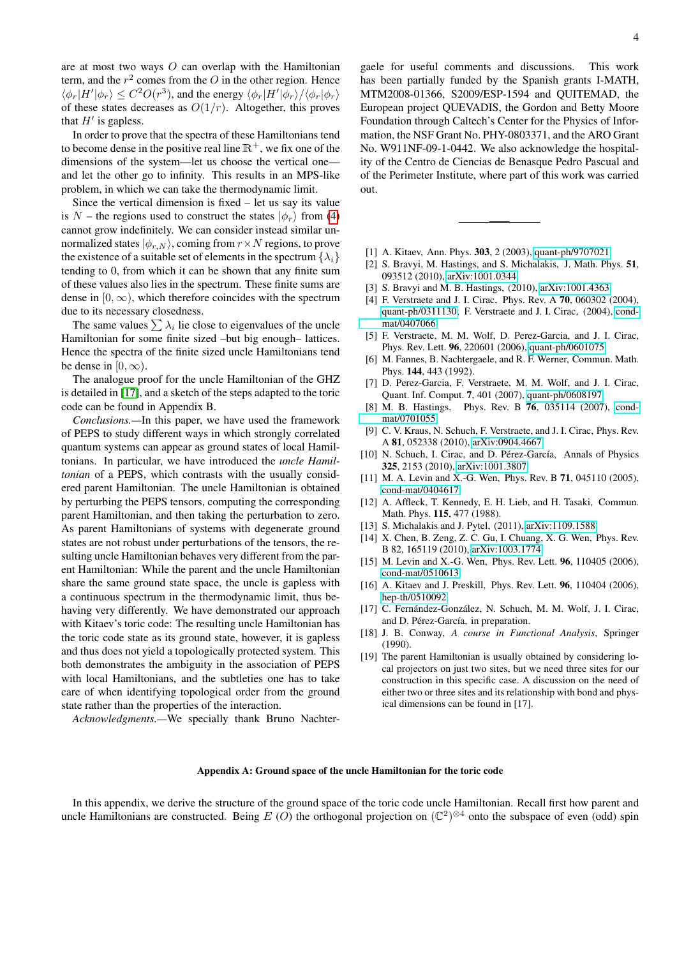are at most two ways  $O$  can overlap with the Hamiltonian term, and the  $r^2$  comes from the O in the other region. Hence  $\langle \phi_r | H' | \phi_r \rangle \leq C^2 O(r^3)$ , and the energy  $\langle \phi_r | H' | \phi_r \rangle / \langle \phi_r | \phi_r \rangle$ of these states decreases as  $O(1/r)$ . Altogether, this proves that  $H'$  is gapless.

In order to prove that the spectra of these Hamiltonians tend to become dense in the positive real line  $\mathbb{R}^+$ , we fix one of the dimensions of the system—let us choose the vertical one and let the other go to infinity. This results in an MPS-like problem, in which we can take the thermodynamic limit.

Since the vertical dimension is fixed  $-$  let us say its value is N – the regions used to construct the states  $|\phi_r\rangle$  from [\(4\)](#page-2-3) cannot grow indefinitely. We can consider instead similar unnormalized states  $|\phi_{r,N}\rangle$ , coming from  $r \times N$  regions, to prove the existence of a suitable set of elements in the spectrum  $\{\lambda_i\}$ tending to 0, from which it can be shown that any finite sum of these values also lies in the spectrum. These finite sums are dense in  $[0, \infty)$ , which therefore coincides with the spectrum due to its necessary closedness.

The same values  $\sum \lambda_i$  lie close to eigenvalues of the uncle Hamiltonian for some finite sized –but big enough– lattices. Hence the spectra of the finite sized uncle Hamiltonians tend be dense in  $[0, \infty)$ .

The analogue proof for the uncle Hamiltonian of the GHZ is detailed in [\[17\]](#page-3-17), and a sketch of the steps adapted to the toric code can be found in Appendix B.

*Conclusions.—*In this paper, we have used the framework of PEPS to study different ways in which strongly correlated quantum systems can appear as ground states of local Hamiltonians. In particular, we have introduced the *uncle Hamiltonian* of a PEPS, which contrasts with the usually considered parent Hamiltonian. The uncle Hamiltonian is obtained by perturbing the PEPS tensors, computing the corresponding parent Hamiltonian, and then taking the perturbation to zero. As parent Hamiltonians of systems with degenerate ground states are not robust under perturbations of the tensors, the resulting uncle Hamiltonian behaves very different from the parent Hamiltonian: While the parent and the uncle Hamiltonian share the same ground state space, the uncle is gapless with a continuous spectrum in the thermodynamic limit, thus behaving very differently. We have demonstrated our approach with Kitaev's toric code: The resulting uncle Hamiltonian has the toric code state as its ground state, however, it is gapless and thus does not yield a topologically protected system. This both demonstrates the ambiguity in the association of PEPS with local Hamiltonians, and the subtleties one has to take care of when identifying topological order from the ground state rather than the properties of the interaction.

*Acknowledgments.—*We specially thank Bruno Nachter-

gaele for useful comments and discussions. This work has been partially funded by the Spanish grants I-MATH, MTM2008-01366, S2009/ESP-1594 and QUITEMAD, the European project QUEVADIS, the Gordon and Betty Moore Foundation through Caltech's Center for the Physics of Information, the NSF Grant No. PHY-0803371, and the ARO Grant No. W911NF-09-1-0442. We also acknowledge the hospitality of the Centro de Ciencias de Benasque Pedro Pascual and of the Perimeter Institute, where part of this work was carried out.

- <span id="page-3-0"></span>[1] A. Kitaev, Ann. Phys. **303**, 2 (2003), [quant-ph/9707021.](http://arxiv.org/abs/quant-ph/9707021)
- <span id="page-3-1"></span>[2] S. Bravyi, M. Hastings, and S. Michalakis, J. Math. Phys. 51, 093512 (2010), [arXiv:1001.0344.](http://arxiv.org/abs/1001.0344)
- <span id="page-3-2"></span>[3] S. Bravyi and M. B. Hastings, (2010), [arXiv:1001.4363.](http://arxiv.org/abs/1001.4363)
- <span id="page-3-3"></span>[4] F. Verstraete and J. I. Cirac, Phys. Rev. A **70**, 060302 (2004), [quant-ph/0311130;](http://arxiv.org/abs/quant-ph/0311130) F. Verstraete and J. I. Cirac, (2004), [cond](http://arxiv.org/abs/cond-mat/0407066)[mat/0407066.](http://arxiv.org/abs/cond-mat/0407066)
- <span id="page-3-4"></span>[5] F. Verstraete, M. M. Wolf, D. Perez-Garcia, and J. I. Cirac, Phys. Rev. Lett. 96, 220601 (2006), [quant-ph/0601075.](http://arxiv.org/abs/quant-ph/0601075)
- <span id="page-3-5"></span>[6] M. Fannes, B. Nachtergaele, and R. F. Werner, Commun. Math. Phys. 144, 443 (1992).
- <span id="page-3-6"></span>[7] D. Perez-Garcia, F. Verstraete, M. M. Wolf, and J. I. Cirac, Quant. Inf. Comput. 7, 401 (2007), [quant-ph/0608197.](http://arxiv.org/abs/quant-ph/0608197)
- <span id="page-3-7"></span>[8] M. B. Hastings, Phys. Rev. B 76, 035114 (2007), [cond](http://arxiv.org/abs/cond-mat/0701055)[mat/0701055.](http://arxiv.org/abs/cond-mat/0701055)
- <span id="page-3-8"></span>[9] C. V. Kraus, N. Schuch, F. Verstraete, and J. I. Cirac, Phys. Rev. A 81, 052338 (2010), [arXiv:0904.4667.](http://arxiv.org/abs/0904.4667)
- <span id="page-3-9"></span>[10] N. Schuch, I. Cirac, and D. Pérez-García, Annals of Physics 325, 2153 (2010), [arXiv:1001.3807.](http://arxiv.org/abs/1001.3807)
- <span id="page-3-10"></span>[11] M. A. Levin and X.-G. Wen, Phys. Rev. B 71, 045110 (2005), [cond-mat/0404617.](http://arxiv.org/abs/cond-mat/0404617)
- <span id="page-3-11"></span>[12] A. Affleck, T. Kennedy, E. H. Lieb, and H. Tasaki, Commun. Math. Phys. 115, 477 (1988).
- <span id="page-3-12"></span>[13] S. Michalakis and J. Pytel, (2011), [arXiv:1109.1588.](http://arxiv.org/abs/1109.1588)
- <span id="page-3-13"></span>[14] X. Chen, B. Zeng, Z. C. Gu, I. Chuang, X. G. Wen, Phys. Rev. B 82, 165119 (2010), [arXiv:1003.1774.](http://arxiv.org/abs/1003.1774)
- <span id="page-3-14"></span>[15] M. Levin and X.-G. Wen, Phys. Rev. Lett. 96, 110405 (2006), [cond-mat/0510613.](http://arxiv.org/abs/cond-mat/0510613)
- <span id="page-3-15"></span>[16] A. Kitaev and J. Preskill, Phys. Rev. Lett. **96**, 110404 (2006), [hep-th/0510092.](http://arxiv.org/abs/hep-th/0510092)
- <span id="page-3-17"></span>[17] C. Fernández-González, N. Schuch, M. M. Wolf, J. I. Cirac, and D. Pérez-García, in preparation.
- <span id="page-3-18"></span>[18] J. B. Conway, *A course in Functional Analysis*, Springer (1990).
- <span id="page-3-16"></span>[19] The parent Hamiltonian is usually obtained by considering local projectors on just two sites, but we need three sites for our construction in this specific case. A discussion on the need of either two or three sites and its relationship with bond and physical dimensions can be found in [17].

## Appendix A: Ground space of the uncle Hamiltonian for the toric code

In this appendix, we derive the structure of the ground space of the toric code uncle Hamiltonian. Recall first how parent and uncle Hamiltonians are constructed. Being E (O) the orthogonal projection on  $(\mathbb{C}^2)^{\otimes 4}$  onto the subspace of even (odd) spin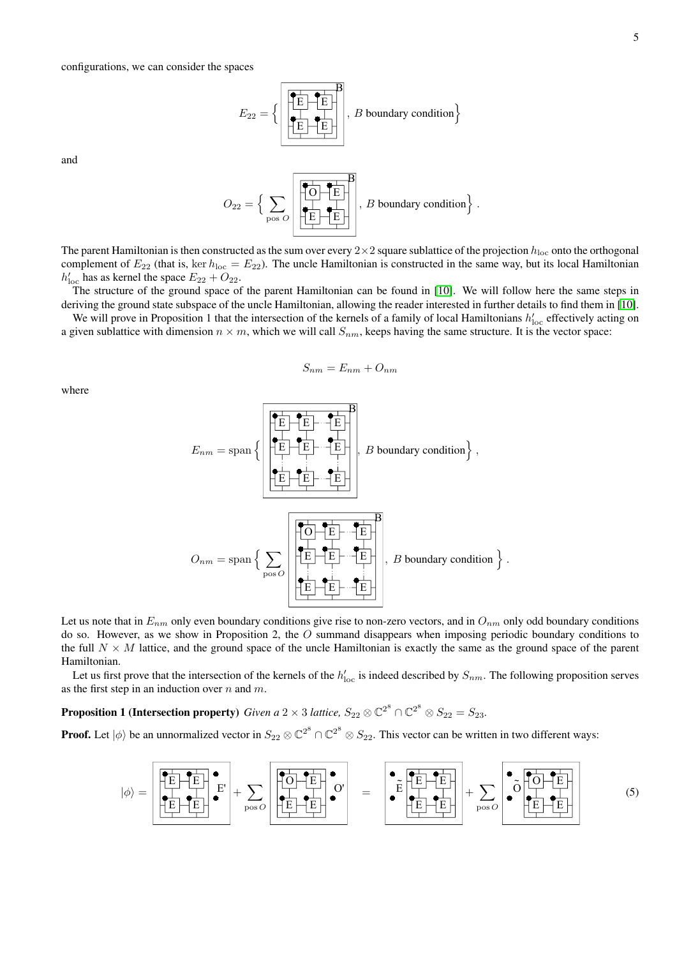$$
E_{22} = \left\{ \left[ \begin{array}{|c|c|} \hline \overline{E} & \overline{E} \\ \hline \overline{E} & \overline{E} \\ \hline \overline{E} & \overline{E} \\ \hline \end{array} \right], \ B \ boundary \ condition \right\}
$$

and

O<sup>22</sup> = n X pos O O E E E B , B boundary conditiono .

The parent Hamiltonian is then constructed as the sum over every  $2 \times 2$  square sublattice of the projection  $h_{\text{loc}}$  onto the orthogonal complement of  $E_{22}$  (that is, ker  $h_{loc} = E_{22}$ ). The uncle Hamiltonian is constructed in the same way, but its local Hamiltonian  $h'_{\text{loc}}$  has as kernel the space  $E_{22} + O_{22}$ .

The structure of the ground space of the parent Hamiltonian can be found in [\[10\]](#page-3-9). We will follow here the same steps in deriving the ground state subspace of the uncle Hamiltonian, allowing the reader interested in further details to find them in [\[10\]](#page-3-9).

We will prove in Proposition 1 that the intersection of the kernels of a family of local Hamiltonians  $h'_{\text{loc}}$  effectively acting on a given sublattice with dimension  $n \times m$ , which we will call  $S_{nm}$ , keeps having the same structure. It is the vector space:

$$
S_{nm} = E_{nm} + O_{nm}
$$

where

$$
E_{nm} = \text{span}\left\{\left|\underbrace{\left|\overrightarrow{E} \right| \cdot \left|\overrightarrow{E} \right|}_{\text{E}} \cdot \left|\overrightarrow{E} \right|}_{\text{Dose } O}\right|, B \text{ boundary condition}\right\},
$$
  

$$
D_{nm} = \text{span}\left\{\sum_{\text{pos } O} \left|\left|\overrightarrow{E} \right| \cdot \left|\overrightarrow{E} \right| \cdot \left|\overrightarrow{E} \right|\right|\right\}, B \text{ boundary condition}\right\}
$$

.

Let us note that in  $E_{nm}$  only even boundary conditions give rise to non-zero vectors, and in  $O_{nm}$  only odd boundary conditions do so. However, as we show in Proposition 2, the O summand disappears when imposing periodic boundary conditions to the full  $N \times M$  lattice, and the ground space of the uncle Hamiltonian is exactly the same as the ground space of the parent Hamiltonian.

Let us first prove that the intersection of the kernels of the  $h'_{\text{loc}}$  is indeed described by  $S_{nm}$ . The following proposition serves as the first step in an induction over  $n$  and  $m$ .

**Proposition 1 (Intersection property)** *Given a* 2  $\times$  3 *lattice,*  $S_{22} \otimes \mathbb{C}^{2^8} \cap \mathbb{C}^{2^8} \otimes S_{22} = S_{23}$ .

**Proof.** Let  $|\phi\rangle$  be an unnormalized vector in  $S_{22}\otimes\mathbb{C}^{2^8}\cap\mathbb{C}^{2^8}\otimes S_{22}$ . This vector can be written in two different ways:

<span id="page-4-0"></span>
$$
|\phi\rangle = \n\begin{bmatrix}\n\overrightarrow{E} & \overrightarrow{E} \\
\overrightarrow{E} & \overrightarrow{E} \\
\overrightarrow{E} & \overrightarrow{E} \\
\overrightarrow{E} & \overrightarrow{E}\n\end{bmatrix} +\n\sum_{\text{pos } O} \n\begin{bmatrix}\n\overrightarrow{O} & \overrightarrow{E} \\
\overrightarrow{O} & \overrightarrow{E} \\
\overrightarrow{E} & \overrightarrow{E} \\
\overrightarrow{E} & \overrightarrow{E} \\
\overrightarrow{E} & \overrightarrow{E}\n\end{bmatrix} +\n\sum_{\text{pos } O} \n\begin{bmatrix}\n\overrightarrow{O} & \overrightarrow{O} & \overrightarrow{E} \\
\overrightarrow{O} & \overrightarrow{E} & \overrightarrow{E} \\
\overrightarrow{E} & \overrightarrow{E} & \overrightarrow{E}\n\end{bmatrix}
$$
\n(5)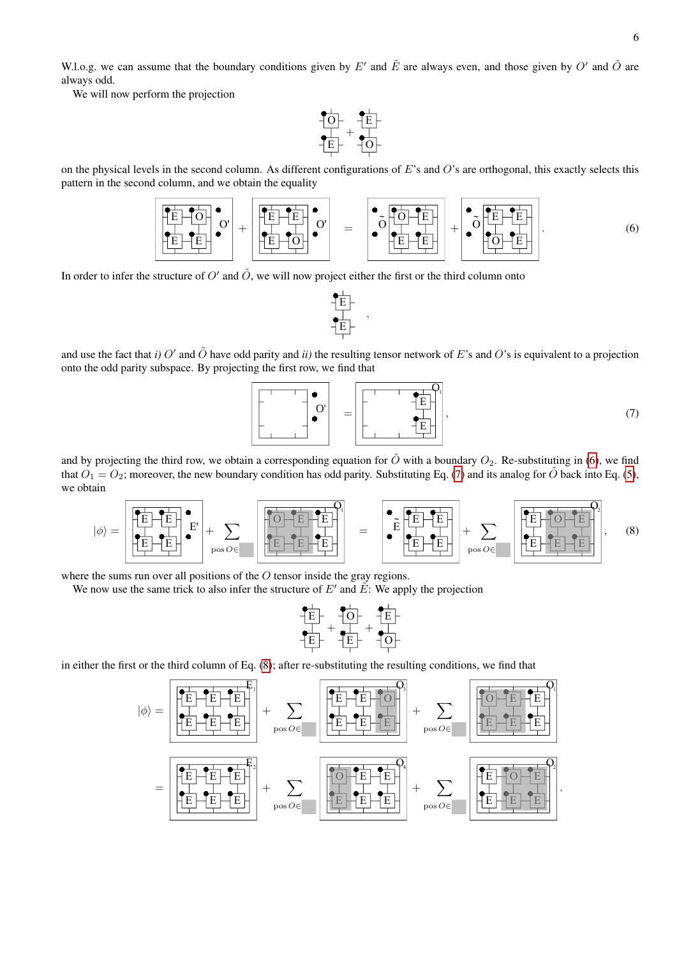W.l.o.g. we can assume that the boundary conditions given by E' and  $\tilde{E}$  are always even, and those given by O' and  $\tilde{O}$  are always odd.

We will now perform the projection



on the physical levels in the second column. As different configurations of E's and O's are orthogonal, this exactly selects this pattern in the second column, and we obtain the equality

<span id="page-5-0"></span>

In order to infer the structure of  $O'$  and  $\tilde{O}$ , we will now project either the first or the third column onto



and use the fact that *i*) O' and  $\tilde{O}$  have odd parity and *ii*) the resulting tensor network of E's and O's is equivalent to a projection onto the odd parity subspace. By projecting the first row, we find that

<span id="page-5-1"></span>

and by projecting the third row, we obtain a corresponding equation for  $\tilde{O}$  with a boundary  $O_2$ . Re-substituting in [\(6\)](#page-5-0), we find that  $O_1 = O_2$ ; moreover, the new boundary condition has odd parity. Substituting Eq. [\(7\)](#page-5-1) and its analog for  $\hat{O}$  back into Eq. [\(5\)](#page-4-0), we obtain

<span id="page-5-2"></span>

where the sums run over all positions of the O tensor inside the gray regions.

We now use the same trick to also infer the structure of  $E'$  and  $\tilde{E}$ : We apply the projection

$$
\begin{array}{c}\n\begin{array}{c}\n\stackrel{\bullet}{\leftarrow} \\
\uparrow \\
\downarrow \\
\downarrow\n\end{array} \\
\uparrow \\
\begin{array}{c}\n\stackrel{\bullet}{\leftarrow} \\
\downarrow \\
\downarrow\n\end{array} \\
\uparrow \\
\uparrow \\
\uparrow \\
\downarrow\n\end{array} \\
\uparrow \\
\begin{array}{c}\n\stackrel{\bullet}{\leftarrow} \\
\downarrow \\
\downarrow \\
\downarrow\n\end{array} \\
\uparrow \\
\uparrow \\
\downarrow \\
\uparrow \\
\downarrow \\
\downarrow\n\end{array}
$$

in either the first or the third column of Eq. [\(8\)](#page-5-2); after re-substituting the resulting conditions, we find that

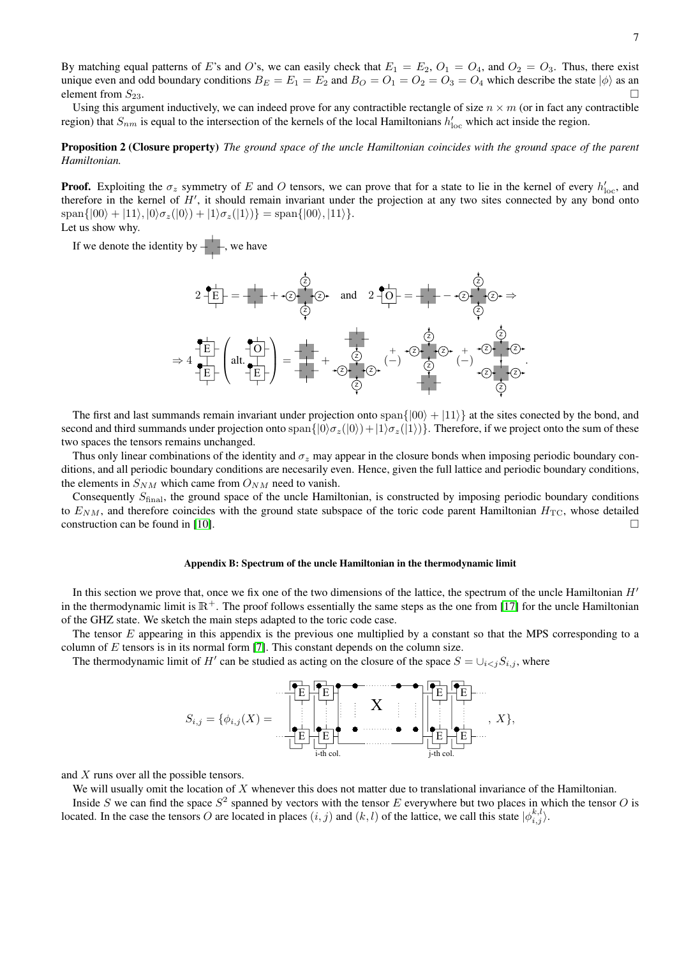By matching equal patterns of E's and O's, we can easily check that  $E_1 = E_2$ ,  $O_1 = O_4$ , and  $O_2 = O_3$ . Thus, there exist unique even and odd boundary conditions  $B_E = E_1 = E_2$  and  $B_O = O_1 = O_2 = O_3 = O_4$  which describe the state  $|\phi\rangle$  as an element from  $S_{23}$ .

Using this argument inductively, we can indeed prove for any contractible rectangle of size  $n \times m$  (or in fact any contractible region) that  $S_{nm}$  is equal to the intersection of the kernels of the local Hamiltonians  $h'_{loc}$  which act inside the region.

# Proposition 2 (Closure property) *The ground space of the uncle Hamiltonian coincides with the ground space of the parent Hamiltonian.*

**Proof.** Exploiting the  $\sigma_z$  symmetry of E and O tensors, we can prove that for a state to lie in the kernel of every  $h'_{\text{loc}}$ , and therefore in the kernel of  $H'$ , it should remain invariant under the projection at any two sites connected by any bond onto  $\text{span}\{|00\rangle + |11\rangle, |0\rangle\sigma_z(|0\rangle) + |1\rangle\sigma_z(|1\rangle)\} = \text{span}\{|00\rangle, |11\rangle\}.$ Let us show why.

If we denote the identity by  $-\leftarrow$ , we have



The first and last summands remain invariant under projection onto span $\{|00\rangle + |11\rangle\}$  at the sites conected by the bond, and second and third summands under projection onto  $\text{span}\{|0\rangle\sigma_z(|0\rangle)+|1\rangle\sigma_z(|1\rangle)\}$ . Therefore, if we project onto the sum of these two spaces the tensors remains unchanged.

Thus only linear combinations of the identity and  $\sigma_{\gamma}$  may appear in the closure bonds when imposing periodic boundary conditions, and all periodic boundary conditions are necesarily even. Hence, given the full lattice and periodic boundary conditions, the elements in  $S_{NM}$  which came from  $O_{NM}$  need to vanish.

Consequently  $S<sub>final</sub>$ , the ground space of the uncle Hamiltonian, is constructed by imposing periodic boundary conditions to  $E_{NM}$ , and therefore coincides with the ground state subspace of the toric code parent Hamiltonian  $H_{TC}$ , whose detailed construction can be found in [\[10\]](#page-3-9).

### Appendix B: Spectrum of the uncle Hamiltonian in the thermodynamic limit

In this section we prove that, once we fix one of the two dimensions of the lattice, the spectrum of the uncle Hamiltonian  $H'$ in the thermodynamic limit is  $\mathbb{R}^+$ . The proof follows essentially the same steps as the one from [\[17\]](#page-3-17) for the uncle Hamiltonian of the GHZ state. We sketch the main steps adapted to the toric code case.

The tensor E appearing in this appendix is the previous one multiplied by a constant so that the MPS corresponding to a column of  $E$  tensors is in its normal form [\[7\]](#page-3-6). This constant depends on the column size.

The thermodynamic limit of H<sup>t</sup> can be studied as acting on the closure of the space  $S = \bigcup_{i < j} S_{i,j}$ , where



and X runs over all the possible tensors.

We will usually omit the location of  $X$  whenever this does not matter due to translational invariance of the Hamiltonian.

Inside S we can find the space  $S^2$  spanned by vectors with the tensor E everywhere but two places in which the tensor O is located. In the case the tensors O are located in places  $(i, j)$  and  $(k, l)$  of the lattice, we call this state  $|\phi_{i,j}^{k,l}\rangle$ .